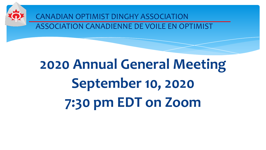

CANADIAN OPTIMIST DINGHY ASSOCIATION ASSOCIATION CANADIENNE DE VOILE EN OPTIMIST

# **2020 Annual General Meeting September 10, 2020 7:30 pm EDT on Zoom**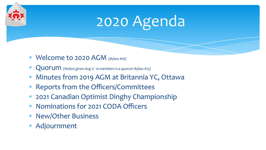# 2020 Agenda

- ∗ Welcome to 2020 AGM (Bylaw #16)
- $\star$  Quorum (Notice given Aug 1/ 10 members is a quorum Bylaw #13)
- ∗ Minutes from 2019 AGM at Britannia YC, Ottawa
- ∗ Reports from the Officers/Committees
- ∗ 2021 Canadian Optimist Dinghy Championship
- ∗ Nominations for 2021 CODA Officers
- ∗ New/Other Business
- ∗ Adjournment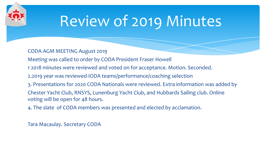## Review of 2019 Minutes

CODA AGM MEETING August 2019

Meeting was called to order by CODA President Fraser Howell

1 2018 minutes were reviewed and voted on for acceptance. Motion. Seconded.

2.2019 year was reviewed-IODA teams/performance/coaching selection

3. Presentations for 2020 CODA Nationals were reviewed. Extra information was added by

Chester Yacht Club, RNSYS, Lunenburg Yacht Club, and Hubbards Sailing club. Online voting will be open for 48 hours.

4. The slate of CODA members was presented and elected by acclamation.

Tara Macaulay. Secretary CODA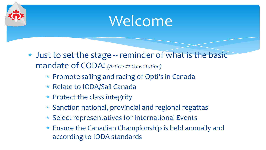## Welcome

- ∗ Just to set the stage -- reminder of what is the basic mandate of CODA! *(Article #2 Constitution)*
	- ∗ Promote sailing and racing of Opti's in Canada
	- ∗ Relate to IODA/Sail Canada
	- ∗ Protect the class integrity
	- ∗ Sanction national, provincial and regional regattas
	- ∗ Select representatives for International Events
	- ∗ Ensure the Canadian Championship is held annually and according to IODA standards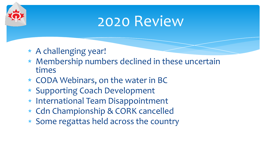### 2020 Review

- ∗ A challenging year!
- ∗ Membership numbers declined in these uncertain times
- ∗ CODA Webinars, on the water in BC
- ∗ Supporting Coach Development
- ∗ International Team Disappointment
- ∗ Cdn Championship & CORK cancelled
- ∗ Some regattas held across the country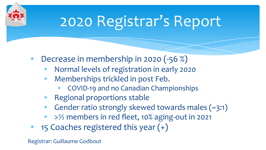# 2020 Registrar's Report

- ∗ Decrease in membership in 2020 (-56 %)
	- ∗ Normal levels of registration in early 2020
	- Memberships trickled in post Feb.
		- ∗ COVID-19 and no Canadian Championships
	- ∗ Regional proportions stable
	- ∗ Gender ratio strongly skewed towards males (~3:1)
	- ∗ >½ members in red fleet, 10% aging-out in 2021
- ∗ 15 Coaches registered this year (+)

Registrar: Guillaume Godbout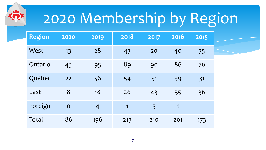# 2020 Membership by Region

| <b>Region</b> | 2020        | 2019           | 2018           | 2017 | 2016 | 2015           |
|---------------|-------------|----------------|----------------|------|------|----------------|
| West          | 13          | 28             | 43             | 20   | 40   | 35             |
| Ontario       | 43          | 95             | 89             | 90   | 86   | 70             |
| Québec        | 22          | 56             | 54             | 51   | 39   | 31             |
| East          | 8           | 18             | 26             | 43   | 35   | 36             |
| Foreign       | $\mathbf O$ | $\overline{4}$ | $\overline{1}$ | 5    | 1    | $\overline{1}$ |
| Total         | 86          | 196            | 213            | 210  | 201  | 173            |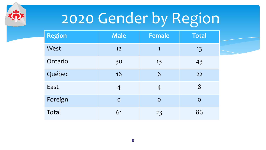# 2020 Gender by Region

| <b>Region</b> | <b>Male</b>    | <b>Female</b>  | <b>Total</b>   |  |
|---------------|----------------|----------------|----------------|--|
| West          | 12             | 1              | 13             |  |
| Ontario       | 30             | 13             | 43             |  |
| Québec        | 16             | 6              | 22             |  |
| East          | $\overline{4}$ | $\overline{4}$ | 8              |  |
| Foreign       | $\overline{O}$ | $\overline{O}$ | $\overline{O}$ |  |
| Total         | 61             | 23             | 86             |  |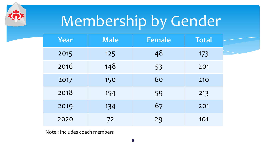# Membership by Gender

| Year | <b>Male</b> | <b>Female</b> | <b>Total</b> |
|------|-------------|---------------|--------------|
| 2015 | 125         | 48            | 173          |
| 2016 | 148         | 53            | 201          |
| 2017 | 150         | 60            | 210          |
| 2018 | 154         | 59            | 213          |
| 2019 | 134         | 67            | 201          |
| 2020 | 72          | 29            | 101          |

Note : Includes coach members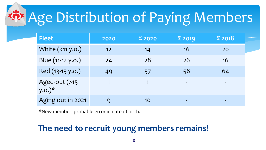# Age Distribution of Paying Members

| <b>Fleet</b>                         | 2020 | % 2020 | <b>%2019</b>             | % 2018                   |
|--------------------------------------|------|--------|--------------------------|--------------------------|
| White (<11 y.o.)                     | 12   | 14     | 16                       | 20                       |
| Blue (11-12 y.o.)                    | 24   | 28     | 26                       | 16                       |
| Red (13-15 y.o.)                     | 49   | 57     | 58                       | 64                       |
| Aged-out (>15<br>$y.0.$ <sup>*</sup> |      |        | $\overline{\phantom{0}}$ | $\overline{\phantom{0}}$ |
| Aging out in 2021                    |      | 10     |                          |                          |

\*New member, probable error in date of birth.

#### **The need to recruit young members remains!**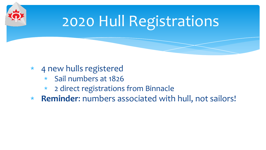

# 2020 Hull Registrations

- ∗ 4 new hulls registered
	- ∗ Sail numbers at 1826
	- ∗ 2 direct registrations from Binnacle
- ∗ **Reminder**: numbers associated with hull, not sailors!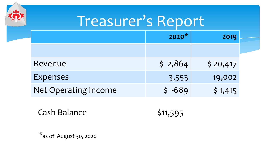| Treasurer's Report          |          |          |  |  |  |
|-----------------------------|----------|----------|--|--|--|
|                             | $2020*$  | 2019     |  |  |  |
|                             |          |          |  |  |  |
| Revenue                     | \$2,864  | \$20,417 |  |  |  |
| <b>Expenses</b>             | 3,553    | 19,002   |  |  |  |
| <b>Net Operating Income</b> | $$ -689$ | \$1,415  |  |  |  |

Cash Balance \$11,595

\*as of August 30, 2020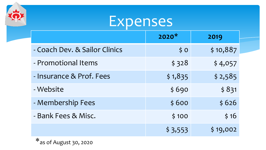## **Expenses**

|                               | $2020*$         | 2019     |  |
|-------------------------------|-----------------|----------|--|
| - Coach Dev. & Sailor Clinics | $\frac{1}{2}$ O | \$10,887 |  |
| - Promotional Items           | \$328           | \$4,057  |  |
| - Insurance & Prof. Fees      | \$1,835         | \$2,585  |  |
| - Website                     | \$690           | \$831    |  |
| - Membership Fees             | \$600           | \$626    |  |
| - Bank Fees & Misc.           | \$100           | \$16     |  |
|                               | \$3,553         | \$19,002 |  |

\*as of August 30, 2020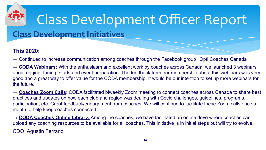

# Class Development Officer Report

#### **Class Development Initiatives**

#### **This 2020:**

 $\rightarrow$  Continued to increase communication among coaches through the Facebook group "Opti Coaches Canada".

→ **CODA Webinars:** With the enthusiasm and excellent work by coaches across Canada, we launched 3 webinars about rigging, tuning, starts and event preparation. The feedback from our membership about this webinars was very good and a great way to offer value for the CODA membership. It would be our intention to set up more webinars for the future.

→ **Coaches Zoom Calls**: CODA facilitated biweekly Zoom meeting to connect coaches across Canada to share best practices and updates on how each club and region was dealing with Covid challenges, guidelines, programs, participation, etc. Great feedback/engagement from coaches. We will continue to facilitate these Zoom calls once a month to help keep coaches connected.

→ **CODA Coaches Online Library:** Among the coaches, we have facilitated an online drive where coaches can upload any coaching resources to be available for all coaches. This initiative is in initial steps but will try to evolve. CDO: Agustin Ferrario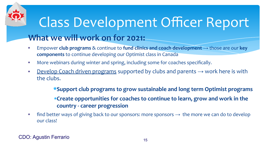### **What we will work on for 2021:** Class Development Officer Report

- ∗ Empower **club programs** & continue to **fund clinics and coach development** → those are our **key components** to continue developing our Optimist class in Canada
- ∗ More webinars during winter and spring, including some for coaches specifically.
- ∗ Develop Coach driven programs supported by clubs and parents → work here is with the clubs.

∗**Support club programs to grow sustainable and long term Optimist programs** ∗**Create opportunities for coaches to continue to learn, grow and work in the country - career progression**

∗ find better ways of giving back to our sponsors: more sponsors → the more we can do to develop our class!

CDO: Agustin Ferrario 15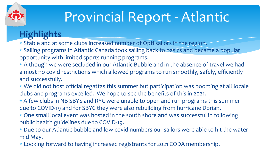## Provincial Report - Atlantic

#### **Highlights**

∗ Stable and at some clubs increased number of Opti sailors in the region.

∗ Sailing programs in Atlantic Canada took sailing back to basics and became a popular opportunity with limited sports running programs.

∗ Although we were secluded in our Atlantic Bubble and in the absence of travel we had almost no covid restrictions which allowed programs to run smoothly, safely, efficiently and successfully.

∗ We did not host official regattas this summer but participation was booming at all locale clubs and programs excelled. We hope to see the benefits of this in 2021.

∗ A few clubs in NB SBYS and RYC were unable to open and run programs this summer due to COVID-19 and for SBYC they were also rebuilding from hurricane Dorian.

∗ One small local event was hosted in the south shore and was successful in following public health guidelines due to COVID-19.

∗ Due to our Atlantic bubble and low covid numbers our sailors were able to hit the water mid May.

∗ Looking forward to having increased registrants for 2021 CODA membership.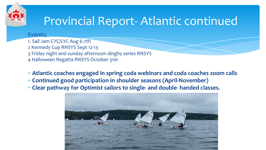

### Provincial Report- Atlantic continued

#### Events;

1. Sail Jam CYC/LYC Aug 6-7th 2 Kennedy Cup RNSYS Sept 12-13 3 Friday night and sunday afternoon dinghy series RNSYS 4 Halloween Regatta RNSYS October 31st

∗ **Atlantic coaches engaged in spring coda webinars and coda coaches zoom calls**

- ∗ **Continued good participation in shoulder seasons (April-November)**
- ∗ **Clear pathway for Optimist sailors to single- and double- handed classes.**

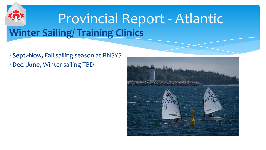## **Winter Sailing/ Training Clinics** Provincial Report - Atlantic

∗**Sept.-Nov.,** Fall sailing season at RNSYS ∗**Dec.-June,** Winter sailing TBD

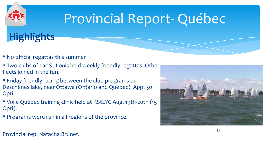# Provincial Report- Québec



- \* No official regattas this summer
- \* Two clubs of Lac St-Louis held weekly friendly regattas. Other fleets joined in the fun.
- \* Friday friendly racing between the club programs on Deschênes lake, near Ottawa (Ontario and Québec). App. 30 Opti.
- \* Voile Québec training clinic held at RStLYC Aug. 19th-20th (15 Opti).
- \* Programs were run in all regions of the province.



Provincial rep: Natacha Brunet.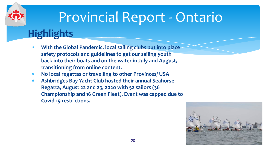### Provincial Report - Ontario

#### **Highlights**

- **With the Global Pandemic, local sailing clubs put into place safety protocols and guidelines to get our sailing youth back into their boats and on the water in July and August, transitioning from online content.**
- ∗ **No local regattas or travelling to other Provinces/ USA**
- ∗ **Ashbridges Bay Yacht Club hosted their annual Seahorse Regatta, August 22 and 23, 2020 with 52 sailors (36 Championship and 16 Green Fleet). Event was capped due to Covid-19 restrictions.**

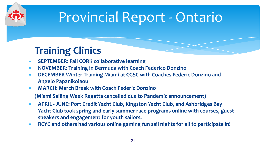

## Provincial Report - Ontario

#### **Training Clinics**

- ∗ **SEPTEMBER: Fall CORK collaborative learning**
- ∗ **NOVEMBER: Training in Bermuda with Coach Federico Donzino**
- ∗ **DECEMBER Winter Training Miami at CGSC with Coaches Federic Donzino and Angelo Papanikolaou**
- ∗ **MARCH: March Break with Coach Federic Donzino**

**(Miami Sailing Week Regatta cancelled due to Pandemic announcement)** 

- ∗ **APRIL JUNE: Port Credit Yacht Club, Kingston Yacht Club, and Ashbridges Bay Yacht Club took spring and early summer race programs online with courses, guest speakers and engagement for youth sailors.**
- ∗ **RCYC and others had various online gaming fun sail nights for all to participate in!**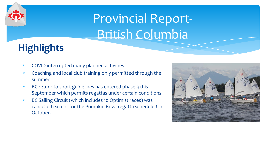## Provincial Report-British Columbia

#### **Highlights**

- ∗ COVID interrupted many planned activities
- ∗ Coaching and local club training only permitted through the summer
- ∗ BC return to sport guidelines has entered phase 3 this September which permits regattas under certain conditions
- ∗ BC Sailing Circuit (which includes 10 Optimist races) was cancelled except for the Pumpkin Bowl regatta scheduled in October.

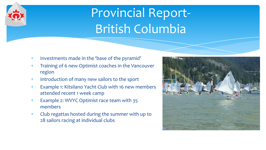### Provincial Report-British Columbia

- Investments made in the 'base of the pyramid'
- Training of 6 new Optimist coaches in the Vancouver region
- Introduction of many new sailors to the sport
- Example 1: Kitsilano Yacht Club with 16 new members attended recent 1 week camp
- Example 2: WVYC Optimist race team with 35 members
- ∗ Club regattas hosted during the summer with up to 28 sailors racing at individual clubs

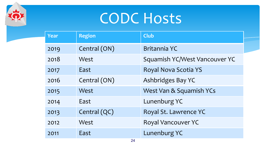## CODC Hosts

| <b>Year</b> | <b>Region</b> | <b>Club</b>                   |  |
|-------------|---------------|-------------------------------|--|
|             |               |                               |  |
| 2019        | Central (ON)  | <b>Britannia YC</b>           |  |
| 2018        | West          | Squamish YC/West Vancouver YC |  |
| 2017        | East          | Royal Nova Scotia YS          |  |
| 2016        | Central (ON)  | Ashbridges Bay YC             |  |
| 2015        | West          | West Van & Squamish YCs       |  |
| 2014        | East          | Lunenburg YC                  |  |
| 2013        | Central (QC)  | Royal St. Lawrence YC         |  |
| 2012        | West          | Royal Vancouver YC            |  |
| 2011        | East          | Lunenburg YC                  |  |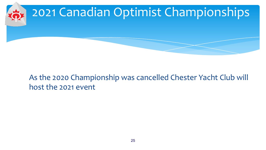

#### As the 2020 Championship was cancelled Chester Yacht Club will host the 2021 event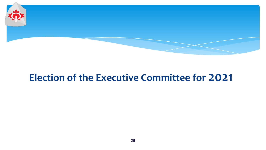

#### **Election of the Executive Committee for 2021**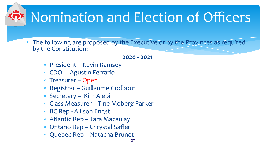# Nomination and Election of Officers

∗ The following are proposed by the Executive or by the Provinces as required by the Constitution:

#### **2020 - 2021**

- ∗ President Kevin Ramsey
- ∗ CDO Agustin Ferrario
- ∗ Treasurer Open
- ∗ Registrar Guillaume Godbout
- ∗ Secretary Kim Alepin
- ∗ Class Measurer Tine Moberg Parker
- ∗ BC Rep Allison Engst
- ∗ Atlantic Rep Tara Macaulay
- ∗ Ontario Rep Chrystal Saffer
- ∗ Quebec Rep Natacha Brunet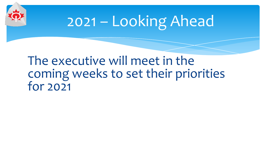

# 2021 – Looking Ahead

#### The executive will meet in the coming weeks to set their priorities  $for 2021$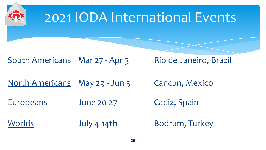

### 2021 IODA International Events

#### South Americans Mar 27 - Apr 3 Rio de Janeiro, Brazil

North Americans May 29 - Jun 5 Cancun, Mexico

Europeans June 20-27 Cadiz, Spain

Worlds July 4-14th Bodrum, Turkey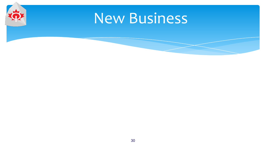## New Business